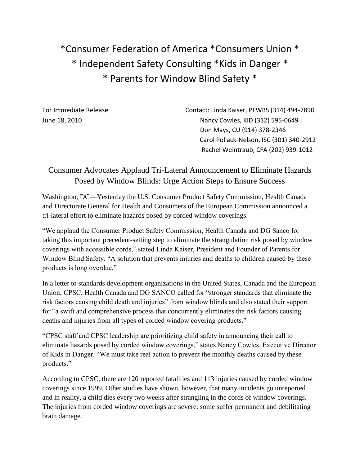\*Consumer Federation of America \*Consumers Union \* \* Independent Safety Consulting \*Kids in Danger \* \* Parents for Window Blind Safety \*

For Immediate Release Contact: Linda Kaiser, PFWBS (314) 494-7890 June 18, 2010 Nancy Cowles, KID (312) 595-0649 Don Mays, CU (914) 378-2346 Carol Pollack-Nelson, ISC (301) 340-2912 Rachel Weintraub, CFA (202) 939-1012

## Consumer Advocates Applaud Tri-Lateral Announcement to Eliminate Hazards Posed by Window Blinds: Urge Action Steps to Ensure Success

Washington, DC—Yesterday the U.S. Consumer Product Safety Commission, Health Canada and Directorate General for Health and Consumers of the European Commission announced a tri-lateral effort to eliminate hazards posed by corded window coverings.

"We applaud the Consumer Product Safety Commission, Health Canada and DG Sanco for taking this important precedent-setting step to eliminate the strangulation risk posed by window coverings with accessible cords," stated Linda Kaiser, President and Founder of Parents for Window Blind Safety. "A solution that prevents injuries and deaths to children caused by these products is long overdue."

In a letter to standards development organizations in the United States, Canada and the European Union; CPSC, Health Canada and DG SANCO called for "stronger standards that eliminate the risk factors causing child death and injuries" from window blinds and also stated their support for "a swift and comprehensive process that concurrently eliminates the risk factors causing deaths and injuries from all types of corded window covering products."

"CPSC staff and CPSC leadership are prioritizing child safety in announcing their call to eliminate hazards posed by corded window coverings," states Nancy Cowles, Executive Director of Kids in Danger. "We must take real action to prevent the monthly deaths caused by these products."

According to CPSC, there are 120 reported fatalities and 113 injuries caused by corded window coverings since 1999. Other studies have shown, however, that many incidents go unreported and in reality, a child dies every two weeks after strangling in the cords of window coverings. The injuries from corded window coverings are severe: some suffer permanent and debilitating brain damage.